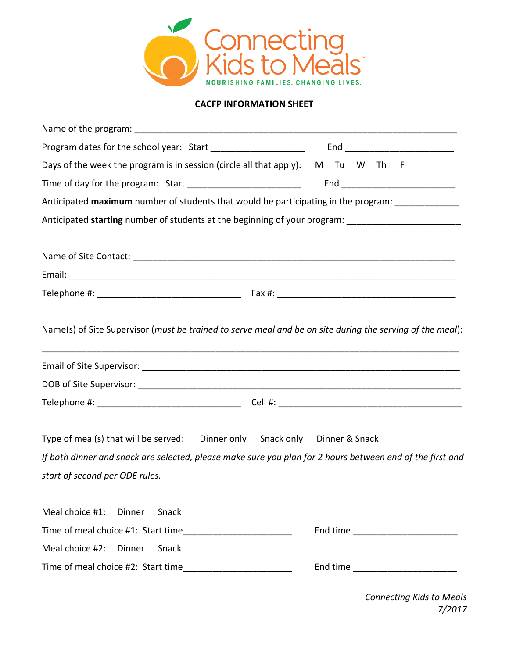

## **CACFP INFORMATION SHEET**

| Program dates for the school year: Start _______________________<br>End _______________________________                                                                                                                   |
|---------------------------------------------------------------------------------------------------------------------------------------------------------------------------------------------------------------------------|
|                                                                                                                                                                                                                           |
| Days of the week the program is in session (circle all that apply): M Tu W Th F                                                                                                                                           |
| Time of day for the program: Start ____________________________<br>End ________________________________                                                                                                                   |
| Anticipated maximum number of students that would be participating in the program: ______________                                                                                                                         |
| Anticipated starting number of students at the beginning of your program: _________________________                                                                                                                       |
|                                                                                                                                                                                                                           |
|                                                                                                                                                                                                                           |
|                                                                                                                                                                                                                           |
|                                                                                                                                                                                                                           |
| Name(s) of Site Supervisor (must be trained to serve meal and be on site during the serving of the meal):                                                                                                                 |
|                                                                                                                                                                                                                           |
|                                                                                                                                                                                                                           |
| Type of meal(s) that will be served: Dinner only Snack only Dinner & Snack<br>If both dinner and snack are selected, please make sure you plan for 2 hours between end of the first and<br>start of second per ODE rules. |
| Meal choice #1:<br>Dinner<br>Snack                                                                                                                                                                                        |
| End time _________________________                                                                                                                                                                                        |
| Meal choice #2:<br>Dinner<br>Snack                                                                                                                                                                                        |
|                                                                                                                                                                                                                           |

*Connecting Kids to Meals 7/2017*